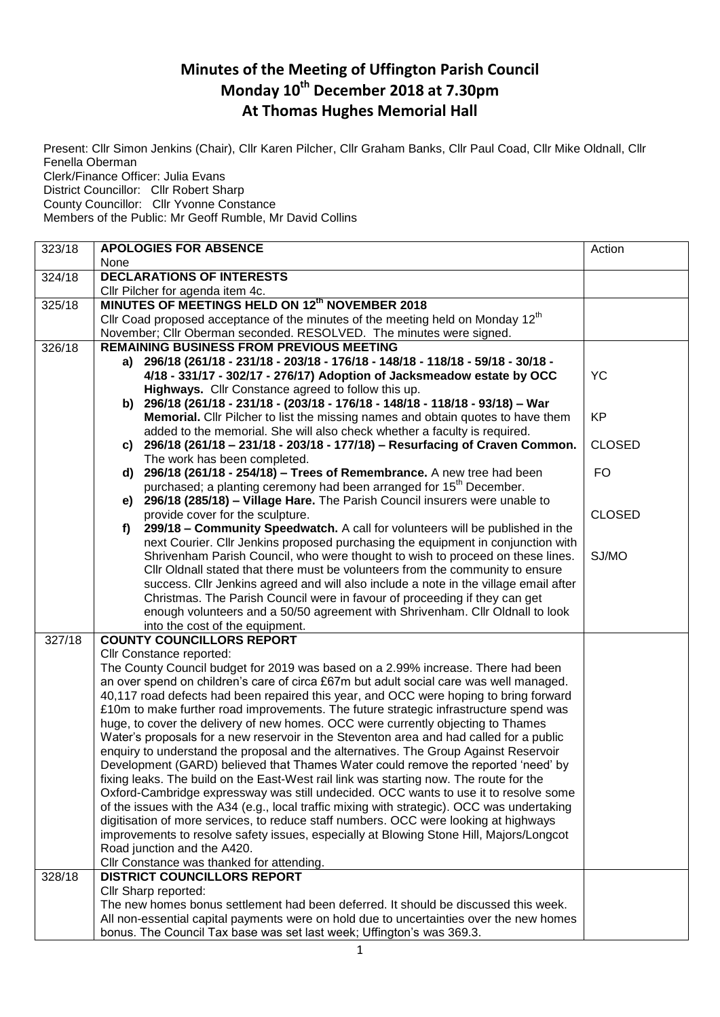## **Minutes of the Meeting of Uffington Parish Council Monday 10th December 2018 at 7.30pm At Thomas Hughes Memorial Hall**

Present: Cllr Simon Jenkins (Chair), Cllr Karen Pilcher, Cllr Graham Banks, Cllr Paul Coad, Cllr Mike Oldnall, Cllr Fenella Oberman Clerk/Finance Officer: Julia Evans District Councillor: Cllr Robert Sharp County Councillor: Cllr Yvonne Constance Members of the Public: Mr Geoff Rumble, Mr David Collins

| 323/18 | <b>APOLOGIES FOR ABSENCE</b>                                                                                           | Action        |
|--------|------------------------------------------------------------------------------------------------------------------------|---------------|
|        | None                                                                                                                   |               |
| 324/18 | <b>DECLARATIONS OF INTERESTS</b>                                                                                       |               |
|        | Cllr Pilcher for agenda item 4c.                                                                                       |               |
| 325/18 | MINUTES OF MEETINGS HELD ON 12th NOVEMBER 2018                                                                         |               |
|        | Cllr Coad proposed acceptance of the minutes of the meeting held on Monday 12 <sup>th</sup>                            |               |
|        | November; Cllr Oberman seconded. RESOLVED. The minutes were signed.                                                    |               |
| 326/18 | <b>REMAINING BUSINESS FROM PREVIOUS MEETING</b>                                                                        |               |
|        | 296/18 (261/18 - 231/18 - 203/18 - 176/18 - 148/18 - 118/18 - 59/18 - 30/18 -<br>a)                                    |               |
|        | 4/18 - 331/17 - 302/17 - 276/17) Adoption of Jacksmeadow estate by OCC                                                 | YC            |
|        | Highways. Cllr Constance agreed to follow this up.                                                                     |               |
|        | b) 296/18 (261/18 - 231/18 - (203/18 - 176/18 - 148/18 - 118/18 - 93/18) - War                                         |               |
|        | Memorial. Cllr Pilcher to list the missing names and obtain quotes to have them                                        | <b>KP</b>     |
|        | added to the memorial. She will also check whether a faculty is required.                                              |               |
|        | c) 296/18 (261/18 - 231/18 - 203/18 - 177/18) - Resurfacing of Craven Common.                                          | <b>CLOSED</b> |
|        | The work has been completed.                                                                                           |               |
|        | 296/18 (261/18 - 254/18) - Trees of Remembrance. A new tree had been<br>d)                                             | <b>FO</b>     |
|        | purchased; a planting ceremony had been arranged for 15 <sup>th</sup> December.                                        |               |
|        | 296/18 (285/18) - Village Hare. The Parish Council insurers were unable to<br>e)                                       |               |
|        | provide cover for the sculpture.<br>299/18 - Community Speedwatch. A call for volunteers will be published in the      | <b>CLOSED</b> |
|        | f)<br>next Courier. Cllr Jenkins proposed purchasing the equipment in conjunction with                                 |               |
|        | Shrivenham Parish Council, who were thought to wish to proceed on these lines.                                         | SJ/MO         |
|        | Cllr Oldnall stated that there must be volunteers from the community to ensure                                         |               |
|        | success. Cllr Jenkins agreed and will also include a note in the village email after                                   |               |
|        | Christmas. The Parish Council were in favour of proceeding if they can get                                             |               |
|        | enough volunteers and a 50/50 agreement with Shrivenham. Cllr Oldnall to look                                          |               |
|        | into the cost of the equipment.                                                                                        |               |
| 327/18 | <b>COUNTY COUNCILLORS REPORT</b>                                                                                       |               |
|        | Cllr Constance reported:                                                                                               |               |
|        | The County Council budget for 2019 was based on a 2.99% increase. There had been                                       |               |
|        | an over spend on children's care of circa £67m but adult social care was well managed.                                 |               |
|        | 40,117 road defects had been repaired this year, and OCC were hoping to bring forward                                  |               |
|        | £10m to make further road improvements. The future strategic infrastructure spend was                                  |               |
|        | huge, to cover the delivery of new homes. OCC were currently objecting to Thames                                       |               |
|        | Water's proposals for a new reservoir in the Steventon area and had called for a public                                |               |
|        | enquiry to understand the proposal and the alternatives. The Group Against Reservoir                                   |               |
|        | Development (GARD) believed that Thames Water could remove the reported 'need' by                                      |               |
|        | fixing leaks. The build on the East-West rail link was starting now. The route for the                                 |               |
|        | Oxford-Cambridge expressway was still undecided. OCC wants to use it to resolve some                                   |               |
|        | of the issues with the A34 (e.g., local traffic mixing with strategic). OCC was undertaking                            |               |
|        | digitisation of more services, to reduce staff numbers. OCC were looking at highways                                   |               |
|        | improvements to resolve safety issues, especially at Blowing Stone Hill, Majors/Longcot<br>Road junction and the A420. |               |
|        |                                                                                                                        |               |
| 328/18 | Cllr Constance was thanked for attending.<br><b>DISTRICT COUNCILLORS REPORT</b>                                        |               |
|        | Cllr Sharp reported:                                                                                                   |               |
|        | The new homes bonus settlement had been deferred. It should be discussed this week.                                    |               |
|        | All non-essential capital payments were on hold due to uncertainties over the new homes                                |               |
|        | bonus. The Council Tax base was set last week; Uffington's was 369.3.                                                  |               |
|        |                                                                                                                        |               |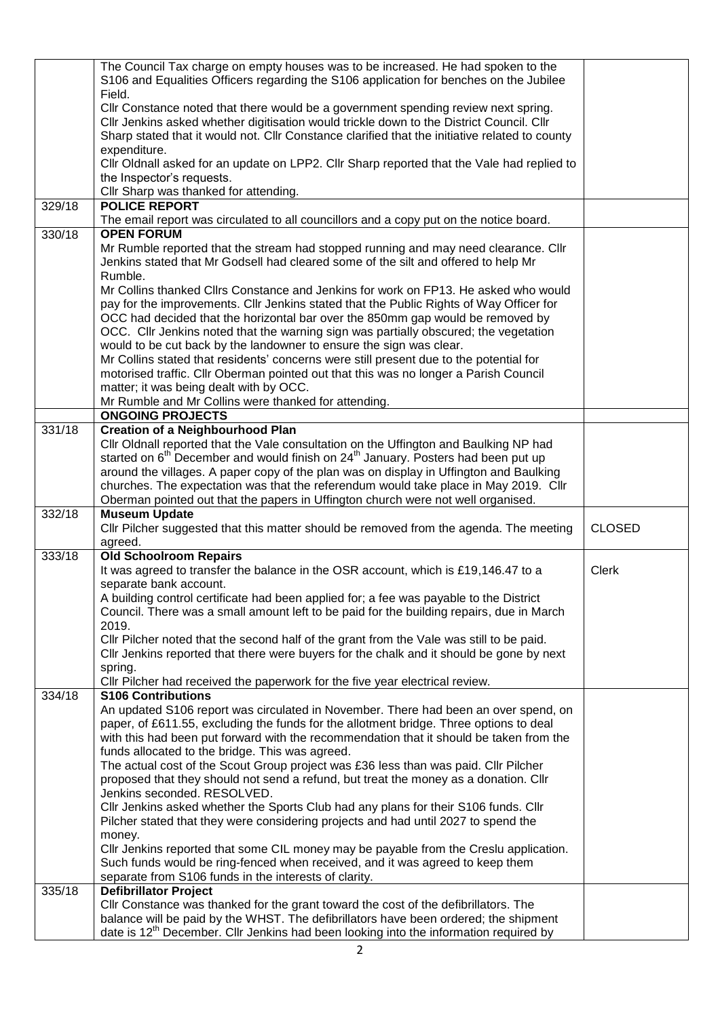|        | The Council Tax charge on empty houses was to be increased. He had spoken to the                                                                                                          |               |
|--------|-------------------------------------------------------------------------------------------------------------------------------------------------------------------------------------------|---------------|
|        | S106 and Equalities Officers regarding the S106 application for benches on the Jubilee                                                                                                    |               |
|        | Field.                                                                                                                                                                                    |               |
|        |                                                                                                                                                                                           |               |
|        | Cllr Constance noted that there would be a government spending review next spring.                                                                                                        |               |
|        | Cllr Jenkins asked whether digitisation would trickle down to the District Council. Cllr                                                                                                  |               |
|        | Sharp stated that it would not. Cllr Constance clarified that the initiative related to county                                                                                            |               |
|        | expenditure.                                                                                                                                                                              |               |
|        |                                                                                                                                                                                           |               |
|        | Cllr Oldnall asked for an update on LPP2. Cllr Sharp reported that the Vale had replied to                                                                                                |               |
|        | the Inspector's requests.                                                                                                                                                                 |               |
|        | Cllr Sharp was thanked for attending.                                                                                                                                                     |               |
|        | <b>POLICE REPORT</b>                                                                                                                                                                      |               |
| 329/18 |                                                                                                                                                                                           |               |
|        | The email report was circulated to all councillors and a copy put on the notice board.                                                                                                    |               |
| 330/18 | <b>OPEN FORUM</b>                                                                                                                                                                         |               |
|        |                                                                                                                                                                                           |               |
|        | Mr Rumble reported that the stream had stopped running and may need clearance. Cllr                                                                                                       |               |
|        | Jenkins stated that Mr Godsell had cleared some of the silt and offered to help Mr                                                                                                        |               |
|        | Rumble.                                                                                                                                                                                   |               |
|        | Mr Collins thanked Cllrs Constance and Jenkins for work on FP13. He asked who would                                                                                                       |               |
|        |                                                                                                                                                                                           |               |
|        | pay for the improvements. Cllr Jenkins stated that the Public Rights of Way Officer for                                                                                                   |               |
|        | OCC had decided that the horizontal bar over the 850mm gap would be removed by                                                                                                            |               |
|        | OCC. Cllr Jenkins noted that the warning sign was partially obscured; the vegetation                                                                                                      |               |
|        | would to be cut back by the landowner to ensure the sign was clear.                                                                                                                       |               |
|        |                                                                                                                                                                                           |               |
|        | Mr Collins stated that residents' concerns were still present due to the potential for                                                                                                    |               |
|        | motorised traffic. Cllr Oberman pointed out that this was no longer a Parish Council                                                                                                      |               |
|        | matter; it was being dealt with by OCC.                                                                                                                                                   |               |
|        |                                                                                                                                                                                           |               |
|        | Mr Rumble and Mr Collins were thanked for attending.                                                                                                                                      |               |
|        | <b>ONGOING PROJECTS</b>                                                                                                                                                                   |               |
| 331/18 | <b>Creation of a Neighbourhood Plan</b>                                                                                                                                                   |               |
|        | Cllr Oldnall reported that the Vale consultation on the Uffington and Baulking NP had                                                                                                     |               |
|        |                                                                                                                                                                                           |               |
|        | started on 6 <sup>th</sup> December and would finish on 24 <sup>th</sup> January. Posters had been put up                                                                                 |               |
|        | around the villages. A paper copy of the plan was on display in Uffington and Baulking                                                                                                    |               |
|        | churches. The expectation was that the referendum would take place in May 2019. Cllr                                                                                                      |               |
|        |                                                                                                                                                                                           |               |
|        | Oberman pointed out that the papers in Uffington church were not well organised.                                                                                                          |               |
| 332/18 | <b>Museum Update</b>                                                                                                                                                                      |               |
|        |                                                                                                                                                                                           |               |
|        |                                                                                                                                                                                           |               |
|        | CIIr Pilcher suggested that this matter should be removed from the agenda. The meeting                                                                                                    | <b>CLOSED</b> |
|        | agreed.                                                                                                                                                                                   |               |
| 333/18 | <b>Old Schoolroom Repairs</b>                                                                                                                                                             |               |
|        |                                                                                                                                                                                           | <b>Clerk</b>  |
|        | It was agreed to transfer the balance in the OSR account, which is £19,146.47 to a                                                                                                        |               |
|        | separate bank account.                                                                                                                                                                    |               |
|        | A building control certificate had been applied for; a fee was payable to the District                                                                                                    |               |
|        | Council. There was a small amount left to be paid for the building repairs, due in March                                                                                                  |               |
|        | 2019.                                                                                                                                                                                     |               |
|        |                                                                                                                                                                                           |               |
|        | Cllr Pilcher noted that the second half of the grant from the Vale was still to be paid.                                                                                                  |               |
|        | Cllr Jenkins reported that there were buyers for the chalk and it should be gone by next                                                                                                  |               |
|        | spring.                                                                                                                                                                                   |               |
|        |                                                                                                                                                                                           |               |
|        | Cllr Pilcher had received the paperwork for the five year electrical review.                                                                                                              |               |
| 334/18 | <b>S106 Contributions</b>                                                                                                                                                                 |               |
|        | An updated S106 report was circulated in November. There had been an over spend, on                                                                                                       |               |
|        | paper, of £611.55, excluding the funds for the allotment bridge. Three options to deal                                                                                                    |               |
|        |                                                                                                                                                                                           |               |
|        | with this had been put forward with the recommendation that it should be taken from the                                                                                                   |               |
|        | funds allocated to the bridge. This was agreed.                                                                                                                                           |               |
|        | The actual cost of the Scout Group project was £36 less than was paid. Cllr Pilcher                                                                                                       |               |
|        | proposed that they should not send a refund, but treat the money as a donation. Cllr                                                                                                      |               |
|        | Jenkins seconded. RESOLVED.                                                                                                                                                               |               |
|        |                                                                                                                                                                                           |               |
|        | Cllr Jenkins asked whether the Sports Club had any plans for their S106 funds. Cllr                                                                                                       |               |
|        | Pilcher stated that they were considering projects and had until 2027 to spend the                                                                                                        |               |
|        | money.                                                                                                                                                                                    |               |
|        |                                                                                                                                                                                           |               |
|        | Cllr Jenkins reported that some CIL money may be payable from the Creslu application.                                                                                                     |               |
|        | Such funds would be ring-fenced when received, and it was agreed to keep them                                                                                                             |               |
|        | separate from S106 funds in the interests of clarity.                                                                                                                                     |               |
| 335/18 |                                                                                                                                                                                           |               |
|        | <b>Defibrillator Project</b>                                                                                                                                                              |               |
|        | Cllr Constance was thanked for the grant toward the cost of the defibrillators. The                                                                                                       |               |
|        | balance will be paid by the WHST. The defibrillators have been ordered; the shipment<br>date is 12 <sup>th</sup> December. Cllr Jenkins had been looking into the information required by |               |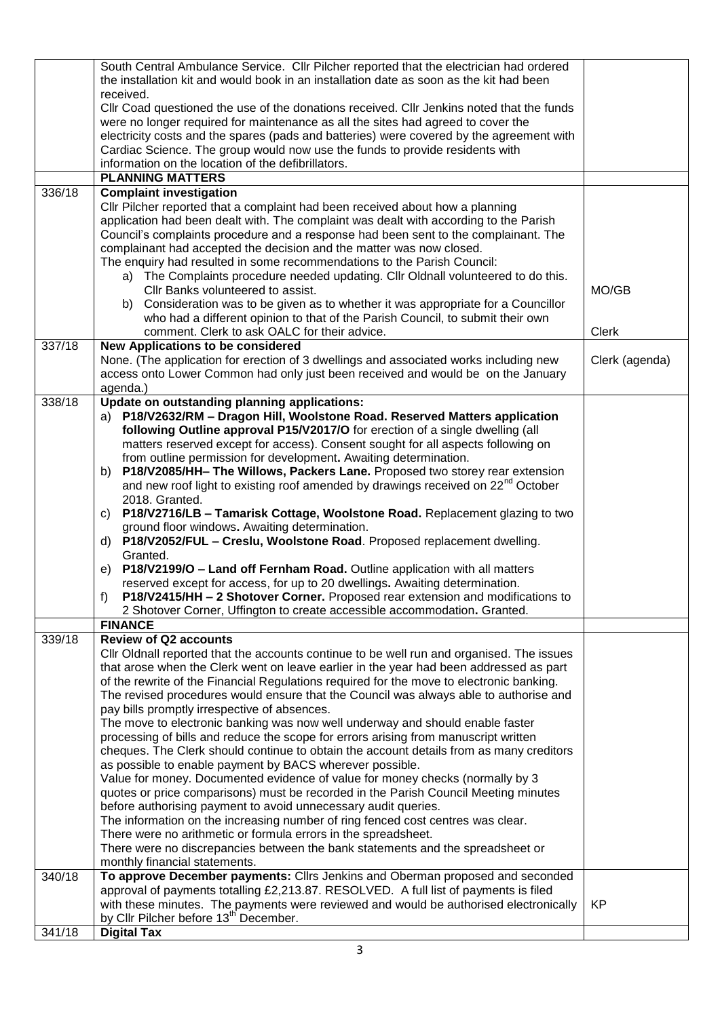|        | South Central Ambulance Service. Cllr Pilcher reported that the electrician had ordered<br>the installation kit and would book in an installation date as soon as the kit had been  |                |
|--------|-------------------------------------------------------------------------------------------------------------------------------------------------------------------------------------|----------------|
|        | received.                                                                                                                                                                           |                |
|        | CIIr Coad questioned the use of the donations received. CIIr Jenkins noted that the funds                                                                                           |                |
|        | were no longer required for maintenance as all the sites had agreed to cover the                                                                                                    |                |
|        | electricity costs and the spares (pads and batteries) were covered by the agreement with                                                                                            |                |
|        | Cardiac Science. The group would now use the funds to provide residents with                                                                                                        |                |
|        | information on the location of the defibrillators.                                                                                                                                  |                |
|        | <b>PLANNING MATTERS</b>                                                                                                                                                             |                |
| 336/18 | <b>Complaint investigation</b>                                                                                                                                                      |                |
|        | Cllr Pilcher reported that a complaint had been received about how a planning                                                                                                       |                |
|        | application had been dealt with. The complaint was dealt with according to the Parish                                                                                               |                |
|        | Council's complaints procedure and a response had been sent to the complainant. The                                                                                                 |                |
|        | complainant had accepted the decision and the matter was now closed.                                                                                                                |                |
|        | The enquiry had resulted in some recommendations to the Parish Council:                                                                                                             |                |
|        | a) The Complaints procedure needed updating. Cllr Oldnall volunteered to do this.                                                                                                   |                |
|        | Cllr Banks volunteered to assist.                                                                                                                                                   | MO/GB          |
|        | b) Consideration was to be given as to whether it was appropriate for a Councillor                                                                                                  |                |
|        | who had a different opinion to that of the Parish Council, to submit their own                                                                                                      |                |
|        | comment. Clerk to ask OALC for their advice.                                                                                                                                        | Clerk          |
| 337/18 | <b>New Applications to be considered</b><br>None. (The application for erection of 3 dwellings and associated works including new                                                   |                |
|        | access onto Lower Common had only just been received and would be on the January                                                                                                    | Clerk (agenda) |
|        | agenda.)                                                                                                                                                                            |                |
| 338/18 | Update on outstanding planning applications:                                                                                                                                        |                |
|        | a) P18/V2632/RM - Dragon Hill, Woolstone Road. Reserved Matters application                                                                                                         |                |
|        | following Outline approval P15/V2017/O for erection of a single dwelling (all                                                                                                       |                |
|        | matters reserved except for access). Consent sought for all aspects following on                                                                                                    |                |
|        | from outline permission for development. Awaiting determination.                                                                                                                    |                |
|        | P18/V2085/HH- The Willows, Packers Lane. Proposed two storey rear extension<br>b)                                                                                                   |                |
|        | and new roof light to existing roof amended by drawings received on 22 <sup>nd</sup> October                                                                                        |                |
|        | 2018. Granted.                                                                                                                                                                      |                |
|        | P18/V2716/LB - Tamarisk Cottage, Woolstone Road. Replacement glazing to two<br>C)                                                                                                   |                |
|        | ground floor windows. Awaiting determination.                                                                                                                                       |                |
|        | P18/V2052/FUL - Creslu, Woolstone Road. Proposed replacement dwelling.<br>d)                                                                                                        |                |
|        | Granted.                                                                                                                                                                            |                |
|        | e) P18/V2199/O - Land off Fernham Road. Outline application with all matters                                                                                                        |                |
|        | reserved except for access, for up to 20 dwellings. Awaiting determination.                                                                                                         |                |
|        | P18/V2415/HH - 2 Shotover Corner. Proposed rear extension and modifications to<br>f)                                                                                                |                |
|        | 2 Shotover Corner, Uffington to create accessible accommodation. Granted.                                                                                                           |                |
|        | <b>FINANCE</b>                                                                                                                                                                      |                |
| 339/18 | <b>Review of Q2 accounts</b>                                                                                                                                                        |                |
|        | Cllr Oldnall reported that the accounts continue to be well run and organised. The issues<br>that arose when the Clerk went on leave earlier in the year had been addressed as part |                |
|        | of the rewrite of the Financial Regulations required for the move to electronic banking.                                                                                            |                |
|        | The revised procedures would ensure that the Council was always able to authorise and                                                                                               |                |
|        | pay bills promptly irrespective of absences.                                                                                                                                        |                |
|        | The move to electronic banking was now well underway and should enable faster                                                                                                       |                |
|        | processing of bills and reduce the scope for errors arising from manuscript written                                                                                                 |                |
|        | cheques. The Clerk should continue to obtain the account details from as many creditors                                                                                             |                |
|        | as possible to enable payment by BACS wherever possible.                                                                                                                            |                |
|        | Value for money. Documented evidence of value for money checks (normally by 3                                                                                                       |                |
|        | quotes or price comparisons) must be recorded in the Parish Council Meeting minutes                                                                                                 |                |
|        | before authorising payment to avoid unnecessary audit queries.                                                                                                                      |                |
|        | The information on the increasing number of ring fenced cost centres was clear.                                                                                                     |                |
|        | There were no arithmetic or formula errors in the spreadsheet.                                                                                                                      |                |
|        | There were no discrepancies between the bank statements and the spreadsheet or                                                                                                      |                |
|        | monthly financial statements.                                                                                                                                                       |                |
| 340/18 | To approve December payments: Clirs Jenkins and Oberman proposed and seconded                                                                                                       |                |
|        | approval of payments totalling £2,213.87. RESOLVED. A full list of payments is filed                                                                                                |                |
|        | with these minutes. The payments were reviewed and would be authorised electronically                                                                                               | KP             |
|        | by Cllr Pilcher before 13 <sup>th</sup> December.                                                                                                                                   |                |
| 341/18 | <b>Digital Tax</b>                                                                                                                                                                  |                |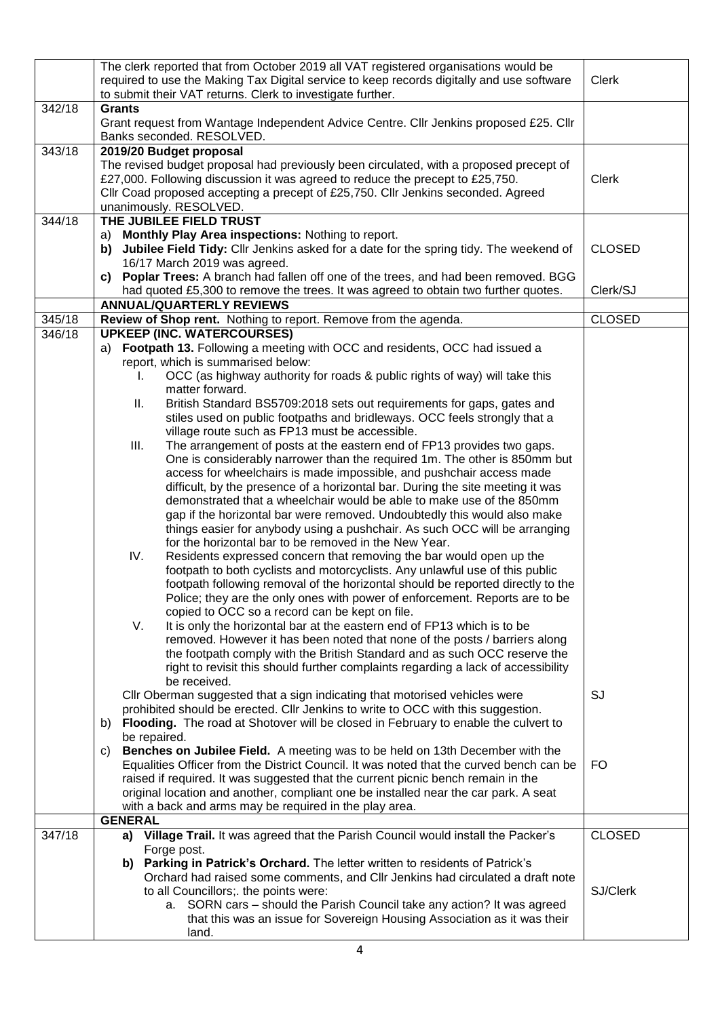|        | The clerk reported that from October 2019 all VAT registered organisations would be<br>required to use the Making Tax Digital service to keep records digitally and use software<br>to submit their VAT returns. Clerk to investigate further. | Clerk         |
|--------|------------------------------------------------------------------------------------------------------------------------------------------------------------------------------------------------------------------------------------------------|---------------|
| 342/18 | <b>Grants</b><br>Grant request from Wantage Independent Advice Centre. Cllr Jenkins proposed £25. Cllr<br>Banks seconded. RESOLVED.                                                                                                            |               |
| 343/18 | 2019/20 Budget proposal                                                                                                                                                                                                                        |               |
|        | The revised budget proposal had previously been circulated, with a proposed precept of                                                                                                                                                         |               |
|        | £27,000. Following discussion it was agreed to reduce the precept to £25,750.                                                                                                                                                                  | <b>Clerk</b>  |
|        | Cllr Coad proposed accepting a precept of £25,750. Cllr Jenkins seconded. Agreed                                                                                                                                                               |               |
| 344/18 | unanimously. RESOLVED.<br>THE JUBILEE FIELD TRUST                                                                                                                                                                                              |               |
|        | a) Monthly Play Area inspections: Nothing to report.                                                                                                                                                                                           |               |
|        | Jubilee Field Tidy: Cllr Jenkins asked for a date for the spring tidy. The weekend of<br>b)                                                                                                                                                    | <b>CLOSED</b> |
|        | 16/17 March 2019 was agreed.                                                                                                                                                                                                                   |               |
|        | c) Poplar Trees: A branch had fallen off one of the trees, and had been removed. BGG                                                                                                                                                           |               |
|        | had quoted £5,300 to remove the trees. It was agreed to obtain two further quotes.                                                                                                                                                             | Clerk/SJ      |
|        | <b>ANNUAL/QUARTERLY REVIEWS</b>                                                                                                                                                                                                                |               |
| 345/18 | Review of Shop rent. Nothing to report. Remove from the agenda.                                                                                                                                                                                | <b>CLOSED</b> |
| 346/18 | <b>UPKEEP (INC. WATERCOURSES)</b>                                                                                                                                                                                                              |               |
|        | Footpath 13. Following a meeting with OCC and residents, OCC had issued a<br>a)                                                                                                                                                                |               |
|        | report, which is summarised below:                                                                                                                                                                                                             |               |
|        | OCC (as highway authority for roads & public rights of way) will take this<br>L.                                                                                                                                                               |               |
|        | matter forward.                                                                                                                                                                                                                                |               |
|        | British Standard BS5709:2018 sets out requirements for gaps, gates and<br>Ш.<br>stiles used on public footpaths and bridleways. OCC feels strongly that a                                                                                      |               |
|        | village route such as FP13 must be accessible.                                                                                                                                                                                                 |               |
|        | The arrangement of posts at the eastern end of FP13 provides two gaps.<br>III.                                                                                                                                                                 |               |
|        | One is considerably narrower than the required 1m. The other is 850mm but                                                                                                                                                                      |               |
|        | access for wheelchairs is made impossible, and pushchair access made                                                                                                                                                                           |               |
|        | difficult, by the presence of a horizontal bar. During the site meeting it was                                                                                                                                                                 |               |
|        | demonstrated that a wheelchair would be able to make use of the 850mm                                                                                                                                                                          |               |
|        | gap if the horizontal bar were removed. Undoubtedly this would also make                                                                                                                                                                       |               |
|        | things easier for anybody using a pushchair. As such OCC will be arranging                                                                                                                                                                     |               |
|        | for the horizontal bar to be removed in the New Year.                                                                                                                                                                                          |               |
|        | IV.<br>Residents expressed concern that removing the bar would open up the                                                                                                                                                                     |               |
|        | footpath to both cyclists and motorcyclists. Any unlawful use of this public                                                                                                                                                                   |               |
|        | footpath following removal of the horizontal should be reported directly to the<br>Police; they are the only ones with power of enforcement. Reports are to be                                                                                 |               |
|        | copied to OCC so a record can be kept on file.                                                                                                                                                                                                 |               |
|        | V.<br>It is only the horizontal bar at the eastern end of FP13 which is to be                                                                                                                                                                  |               |
|        | removed. However it has been noted that none of the posts / barriers along                                                                                                                                                                     |               |
|        | the footpath comply with the British Standard and as such OCC reserve the                                                                                                                                                                      |               |
|        | right to revisit this should further complaints regarding a lack of accessibility                                                                                                                                                              |               |
|        | be received.                                                                                                                                                                                                                                   |               |
|        | CIIr Oberman suggested that a sign indicating that motorised vehicles were                                                                                                                                                                     | SJ            |
|        | prohibited should be erected. Cllr Jenkins to write to OCC with this suggestion.                                                                                                                                                               |               |
|        | Flooding. The road at Shotover will be closed in February to enable the culvert to<br>b)                                                                                                                                                       |               |
|        | be repaired.<br>Benches on Jubilee Field. A meeting was to be held on 13th December with the<br>C)                                                                                                                                             |               |
|        | Equalities Officer from the District Council. It was noted that the curved bench can be                                                                                                                                                        | FO.           |
|        | raised if required. It was suggested that the current picnic bench remain in the                                                                                                                                                               |               |
|        | original location and another, compliant one be installed near the car park. A seat                                                                                                                                                            |               |
|        | with a back and arms may be required in the play area.                                                                                                                                                                                         |               |
|        | <b>GENERAL</b>                                                                                                                                                                                                                                 |               |
| 347/18 | a) Village Trail. It was agreed that the Parish Council would install the Packer's                                                                                                                                                             | <b>CLOSED</b> |
|        | Forge post.                                                                                                                                                                                                                                    |               |
|        | b) Parking in Patrick's Orchard. The letter written to residents of Patrick's                                                                                                                                                                  |               |
|        | Orchard had raised some comments, and CIIr Jenkins had circulated a draft note                                                                                                                                                                 |               |
|        | to all Councillors; the points were:                                                                                                                                                                                                           | SJ/Clerk      |
|        | a. SORN cars - should the Parish Council take any action? It was agreed<br>that this was an issue for Sovereign Housing Association as it was their                                                                                            |               |
|        | land.                                                                                                                                                                                                                                          |               |
|        |                                                                                                                                                                                                                                                |               |